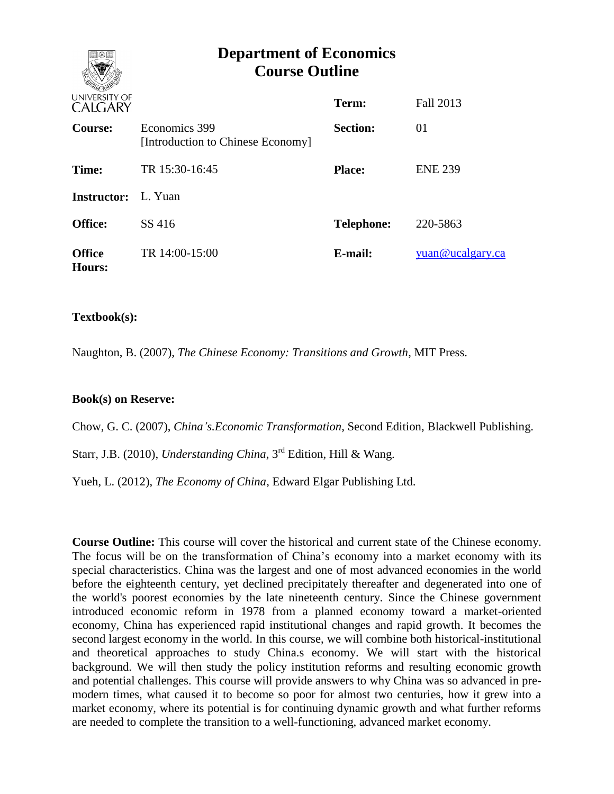# **Department of Economics Course Outline**

| UNIVERSITY OF<br><b>CALGARY</b> |                                                    | Term:             | Fall 2013        |
|---------------------------------|----------------------------------------------------|-------------------|------------------|
| Course:                         | Economics 399<br>[Introduction to Chinese Economy] | <b>Section:</b>   | 01               |
| Time:                           | TR 15:30-16:45                                     | <b>Place:</b>     | <b>ENE 239</b>   |
| <b>Instructor:</b> L. Yuan      |                                                    |                   |                  |
| <b>Office:</b>                  | SS 416                                             | <b>Telephone:</b> | 220-5863         |
| <b>Office</b><br>Hours:         | TR 14:00-15:00                                     | E-mail:           | yuan@ucalgary.ca |

## **Textbook(s):**

Naughton, B. (2007), *The Chinese Economy: Transitions and Growth*, MIT Press.

### **Book(s) on Reserve:**

Chow, G. C. (2007), *China's.Economic Transformation*, Second Edition, Blackwell Publishing.

Starr, J.B. (2010), *Understanding China*, 3rd Edition, Hill & Wang.

Yueh, L. (2012), *The Economy of China*, Edward Elgar Publishing Ltd.

**Course Outline:** This course will cover the historical and current state of the Chinese economy. The focus will be on the transformation of China's economy into a market economy with its special characteristics. China was the largest and one of most advanced economies in the world before the eighteenth century, yet declined precipitately thereafter and degenerated into one of the world's poorest economies by the late nineteenth century. Since the Chinese government introduced economic reform in 1978 from a planned economy toward a market-oriented economy, China has experienced rapid institutional changes and rapid growth. It becomes the second largest economy in the world. In this course, we will combine both historical-institutional and theoretical approaches to study China.s economy. We will start with the historical background. We will then study the policy institution reforms and resulting economic growth and potential challenges. This course will provide answers to why China was so advanced in premodern times, what caused it to become so poor for almost two centuries, how it grew into a market economy, where its potential is for continuing dynamic growth and what further reforms are needed to complete the transition to a well-functioning, advanced market economy.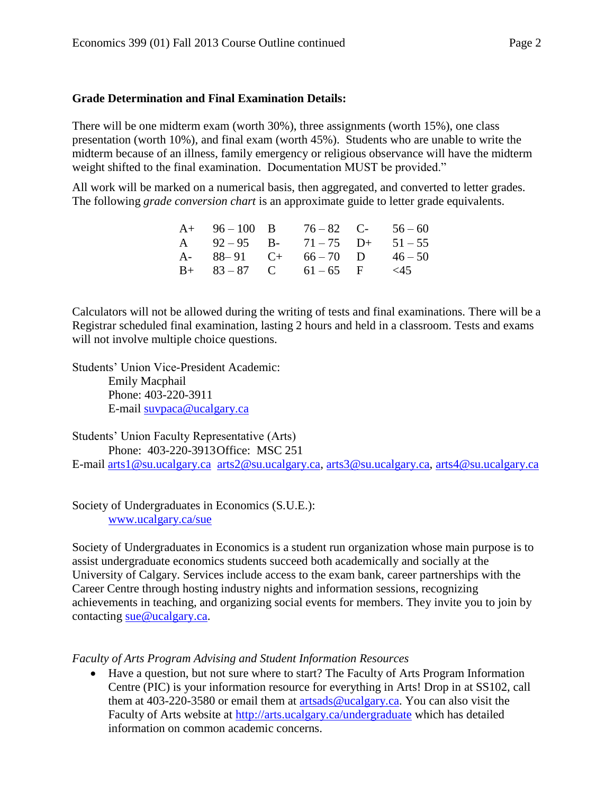#### **Grade Determination and Final Examination Details:**

There will be one midterm exam (worth 30%), three assignments (worth 15%), one class presentation (worth 10%), and final exam (worth 45%). Students who are unable to write the midterm because of an illness, family emergency or religious observance will have the midterm weight shifted to the final examination. Documentation MUST be provided."

All work will be marked on a numerical basis, then aggregated, and converted to letter grades. The following *grade conversion chart* is an approximate guide to letter grade equivalents.

| $A+ 96-100 \quad B$ $76-82 \quad C- 56-60$ |  |  |
|--------------------------------------------|--|--|
| A $92-95$ B- $71-75$ D+ $51-55$            |  |  |
| A- $88-91$ C+ $66-70$ D $46-50$            |  |  |
| $B+ 83-87$ C $61-65$ F <45                 |  |  |

Calculators will not be allowed during the writing of tests and final examinations. There will be a Registrar scheduled final examination, lasting 2 hours and held in a classroom. Tests and exams will not involve multiple choice questions.

Students' Union Vice-President Academic: Emily Macphail Phone: 403-220-3911 E-mail [suvpaca@ucalgary.ca](mailto:subpaca@ucalgary.ca)

Students' Union Faculty Representative (Arts) Phone: 403-220-3913Office: MSC 251 E-mail [arts1@su.ucalgary.ca](mailto:arts1@su.ucalgary.ca) [arts2@su.ucalgary.ca,](mailto:arts2@su.ucalgary.ca) [arts3@su.ucalgary.ca,](mailto:arts3@su.ucalgary.ca) [arts4@su.ucalgary.ca](mailto:arts4@su.ucalgary.ca)

Society of Undergraduates in Economics (S.U.E.): [www.ucalgary.ca/sue](http://www.fp.ucalgary.ca/econ)

Society of Undergraduates in Economics is a student run organization whose main purpose is to assist undergraduate economics students succeed both academically and socially at the University of Calgary. Services include access to the exam bank, career partnerships with the Career Centre through hosting industry nights and information sessions, recognizing achievements in teaching, and organizing social events for members. They invite you to join by contacting [sue@ucalgary.ca.](mailto:sue@ucalgary.ca)

#### *Faculty of Arts Program Advising and Student Information Resources*

 Have a question, but not sure where to start? The Faculty of Arts Program Information Centre (PIC) is your information resource for everything in Arts! Drop in at SS102, call them at 403-220-3580 or email them at [artsads@ucalgary.ca.](mailto:artsads@ucalgary.ca) You can also visit the Faculty of Arts website at<http://arts.ucalgary.ca/undergraduate> which has detailed information on common academic concerns.